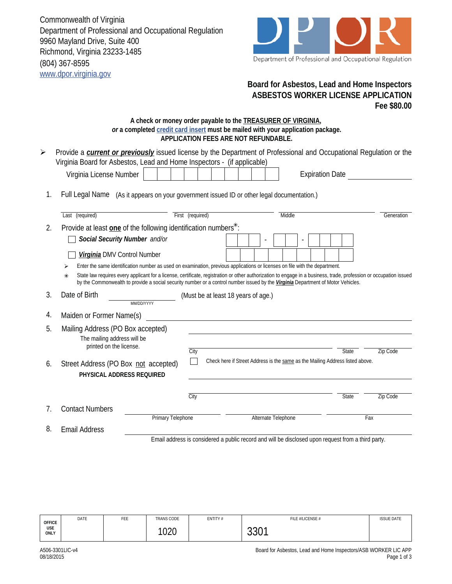Commonwealth of Virginia Department of Professional and Occupational Regulation 9960 Mayland Drive, Suite 400 Richmond, Virginia 23233-1485 (804) 367-8595 www.dpor.virginia.gov



## **Board for Asbestos, Lead and Home Inspectors ASBESTOS WORKER LICENSE APPLICATION Fee \$80.00**

## **A check or money order payable to the TREASURER OF VIRGINIA,**  *or* **a completed credit card insert must be mailed with your application package. APPLICATION FEES ARE NOT REFUNDABLE.**

| ► Provide a <i>current or previously</i> issued license by the Department of Professional and Occupational Regulation or the |
|------------------------------------------------------------------------------------------------------------------------------|
| Virginia Board for Asbestos, Lead and Home Inspectors - (if applicable)                                                      |
| .                                                                                                                            |

| Virginia License Number                                                                    |  |  |  |  |  | <b>Expiration Date</b> |
|--------------------------------------------------------------------------------------------|--|--|--|--|--|------------------------|
|                                                                                            |  |  |  |  |  |                        |
| Full Legal Name (As it appears on your government issued ID or other legal documentation.) |  |  |  |  |  |                        |

|    | Last (required)                                                                             | First (required)                    | Middle                                                                                                                                                                                                                                                                                                 | Generation |
|----|---------------------------------------------------------------------------------------------|-------------------------------------|--------------------------------------------------------------------------------------------------------------------------------------------------------------------------------------------------------------------------------------------------------------------------------------------------------|------------|
| 2. | Provide at least one of the following identification numbers <sup>*</sup> :                 |                                     |                                                                                                                                                                                                                                                                                                        |            |
|    | Social Security Number and/or                                                               |                                     | $\overline{a}$<br>$\overline{\phantom{a}}$                                                                                                                                                                                                                                                             |            |
|    | Virginia DMV Control Number                                                                 |                                     |                                                                                                                                                                                                                                                                                                        |            |
|    |                                                                                             |                                     | Enter the same identification number as used on examination, previous applications or licenses on file with the department.                                                                                                                                                                            |            |
|    | $*$                                                                                         |                                     | State law requires every applicant for a license, certificate, registration or other authorization to engage in a business, trade, profession or occupation issued<br>by the Commonwealth to provide a social security number or a control number issued by the Virginia Department of Motor Vehicles. |            |
| 3. | Date of Birth<br>MM/DD/YYYY                                                                 | (Must be at least 18 years of age.) |                                                                                                                                                                                                                                                                                                        |            |
| 4. | Maiden or Former Name(s)                                                                    |                                     |                                                                                                                                                                                                                                                                                                        |            |
| 5. | Mailing Address (PO Box accepted)<br>The mailing address will be<br>printed on the license. | City                                | State                                                                                                                                                                                                                                                                                                  | Zip Code   |
| 6. | Street Address (PO Box not accepted)<br>PHYSICAL ADDRESS REQUIRED                           |                                     | Check here if Street Address is the same as the Mailing Address listed above.                                                                                                                                                                                                                          |            |
|    |                                                                                             | City                                | <b>State</b>                                                                                                                                                                                                                                                                                           | Zip Code   |
| 7. | <b>Contact Numbers</b>                                                                      |                                     |                                                                                                                                                                                                                                                                                                        |            |
|    |                                                                                             | Primary Telephone                   | Alternate Telephone                                                                                                                                                                                                                                                                                    | Fax        |
| 8. | <b>Email Address</b>                                                                        |                                     |                                                                                                                                                                                                                                                                                                        |            |

Email address is considered a public record and will be disclosed upon request from a third party.

| <b>OFFICE</b><br><b>USE</b><br>ONLY | DATE | FEE | <b>TRANS CODE</b> | ENTITY# | FILE #/LICENSE # | <b>ISSUE DATE</b> |
|-------------------------------------|------|-----|-------------------|---------|------------------|-------------------|
|                                     |      |     | 1020              |         | 0.004<br>ו טטט   |                   |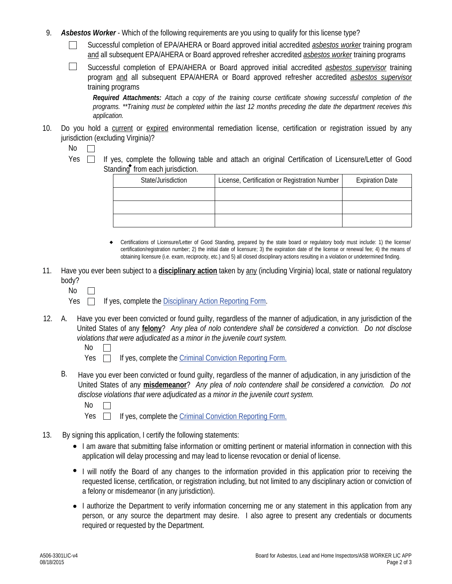- 9. *Asbestos Worker* Which of the following requirements are you using to qualify for this license type?
	- Successful completion of EPA/AHERA or Board approved initial accredited *asbestos worker* training program  $\perp$ and all subsequent EPA/AHERA or Board approved refresher accredited *asbestos worker* training programs
	- $\Box$ Successful completion of EPA/AHERA or Board approved initial accredited *asbestos supervisor* training program and all subsequent EPA/AHERA or Board approved refresher accredited *asbestos supervisor* training programs

*Required Attachments: Attach a copy of the training course certificate showing successful completion of the programs. \*\*Training must be completed within the last 12 months preceding the date the department receives this application.*

10. Do you hold a current or expired environmental remediation license, certification or registration issued by any jurisdiction (excluding Virginia)?

No  $\mathbb{R}$ 

Yes  $\Box$  If yes, complete the following table and attach an original Certification of Licensure/Letter of Good Standing from each jurisdiction.

| State/Jurisdiction | License, Certification or Registration Number | <b>Expiration Date</b> |
|--------------------|-----------------------------------------------|------------------------|
|                    |                                               |                        |
|                    |                                               |                        |
|                    |                                               |                        |

- Certifications of Licensure/Letter of Good Standing, prepared by the state board or regulatory body must include: 1) the license/ certification/registration number; 2) the initial date of licensure; 3) the expiration date of the license or renewal fee; 4) the means of obtaining licensure (i.e. exam, reciprocity, etc.) and 5) all closed disciplinary actions resulting in a violation or undetermined finding.  $\bullet$
- 11. Have you ever been subject to a **disciplinary action** taken by any (including Virginia) local, state or national regulatory body?

No  $\overline{\phantom{a}}$ 

 $Yes \Box$  If yes, complete the Disciplinary Action Reporting Form.

- A. Have you ever been convicted or found guilty, regardless of the manner of adjudication, in any jurisdiction of the United States of any **felony**? *Any plea of nolo contendere shall be considered a conviction. Do not disclose violations that were adjudicated as a minor in the juvenile court system.*  12.
	- No  $\Box$
	- Yes  $\Box$ If yes, complete the Criminal Conviction Reporting Form.
	- B. Have you ever been convicted or found guilty, regardless of the manner of adjudication, in any jurisdiction of the United States of any **misdemeanor**? *Any plea of nolo contendere shall be considered a conviction. Do not disclose violations that were adjudicated as a minor in the juvenile court system.*

- Yes  $\Box$  If yes, complete the Criminal Conviction Reporting Form.
- 13. By signing this application, I certify the following statements:
	- I am aware that submitting false information or omitting pertinent or material information in connection with this application will delay processing and may lead to license revocation or denial of license.
	- I will notify the Board of any changes to the information provided in this application prior to receiving the requested license, certification, or registration including, but not limited to any disciplinary action or conviction of a felony or misdemeanor (in any jurisdiction).
	- I authorize the Department to verify information concerning me or any statement in this application from any person, or any source the department may desire. I also agree to present any credentials or documents required or requested by the Department.

No  $\Box$